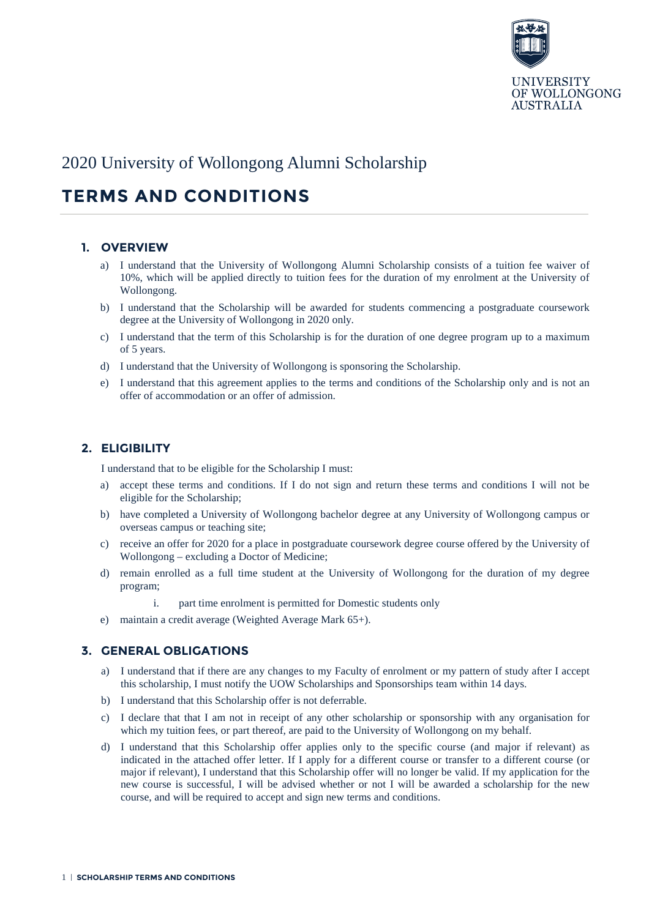

# 2020 University of Wollongong Alumni Scholarship

# **TERMS AND CONDITIONS**

#### **1. OVERVIEW**

- a) I understand that the University of Wollongong Alumni Scholarship consists of a tuition fee waiver of 10%, which will be applied directly to tuition fees for the duration of my enrolment at the University of Wollongong.
- b) I understand that the Scholarship will be awarded for students commencing a postgraduate coursework degree at the University of Wollongong in 2020 only.
- c) I understand that the term of this Scholarship is for the duration of one degree program up to a maximum of 5 years.
- d) I understand that the University of Wollongong is sponsoring the Scholarship.
- e) I understand that this agreement applies to the terms and conditions of the Scholarship only and is not an offer of accommodation or an offer of admission.

#### **2. ELIGIBILITY**

I understand that to be eligible for the Scholarship I must:

- a) accept these terms and conditions. If I do not sign and return these terms and conditions I will not be eligible for the Scholarship;
- b) have completed a University of Wollongong bachelor degree at any University of Wollongong campus or overseas campus or teaching site;
- c) receive an offer for 2020 for a place in postgraduate coursework degree course offered by the University of Wollongong – excluding a Doctor of Medicine;
- d) remain enrolled as a full time student at the University of Wollongong for the duration of my degree program;
	- i. part time enrolment is permitted for Domestic students only
- e) maintain a credit average (Weighted Average Mark 65+).

#### **3. GENERAL OBLIGATIONS**

- a) I understand that if there are any changes to my Faculty of enrolment or my pattern of study after I accept this scholarship, I must notify the UOW Scholarships and Sponsorships team within 14 days.
- b) I understand that this Scholarship offer is not deferrable.
- c) I declare that that I am not in receipt of any other scholarship or sponsorship with any organisation for which my tuition fees, or part thereof, are paid to the University of Wollongong on my behalf.
- d) I understand that this Scholarship offer applies only to the specific course (and major if relevant) as indicated in the attached offer letter. If I apply for a different course or transfer to a different course (or major if relevant), I understand that this Scholarship offer will no longer be valid. If my application for the new course is successful, I will be advised whether or not I will be awarded a scholarship for the new course, and will be required to accept and sign new terms and conditions.